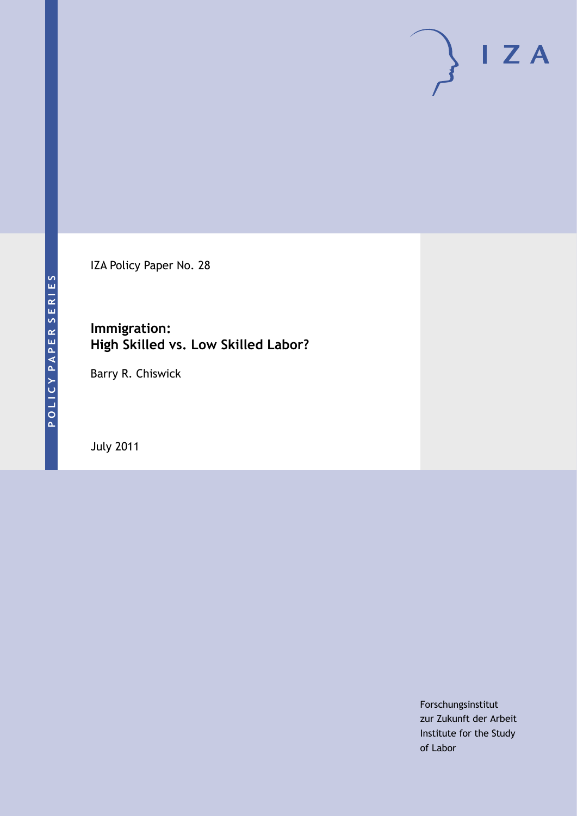IZA Policy Paper No. 28

**Immigration: High Skilled vs. Low Skilled Labor?**

Barry R. Chiswick

July 2011

Forschungsinstitut zur Zukunft der Arbeit Institute for the Study of Labor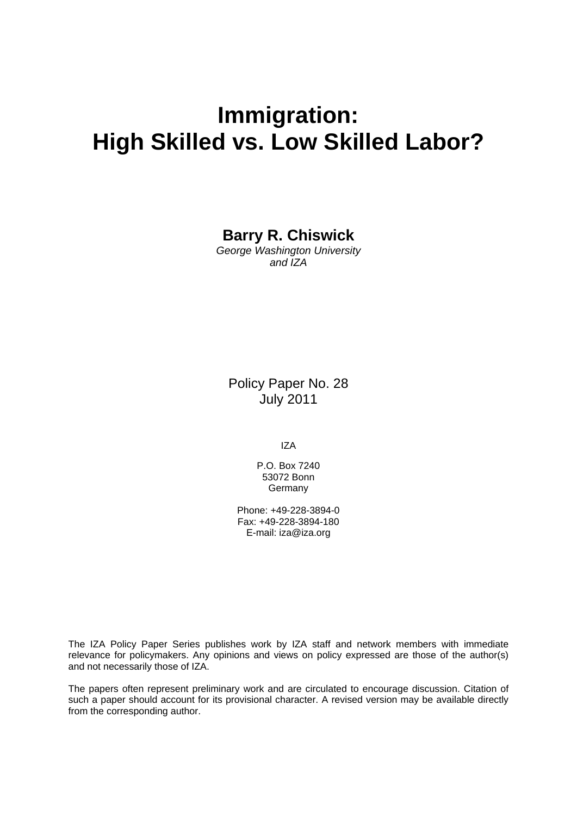# **Immigration: High Skilled vs. Low Skilled Labor?**

# **Barry R. Chiswick**

*George Washington University and IZA* 

Policy Paper No. 28 July 2011

IZA

P.O. Box 7240 53072 Bonn **Germany** 

Phone: +49-228-3894-0 Fax: +49-228-3894-180 E-mail: [iza@iza.org](mailto:iza@iza.org) 

The IZA Policy Paper Series publishes work by IZA staff and network members with immediate relevance for policymakers. Any opinions and views on policy expressed are those of the author(s) and not necessarily those of IZA.

The papers often represent preliminary work and are circulated to encourage discussion. Citation of such a paper should account for its provisional character. A revised version may be available directly from the corresponding author.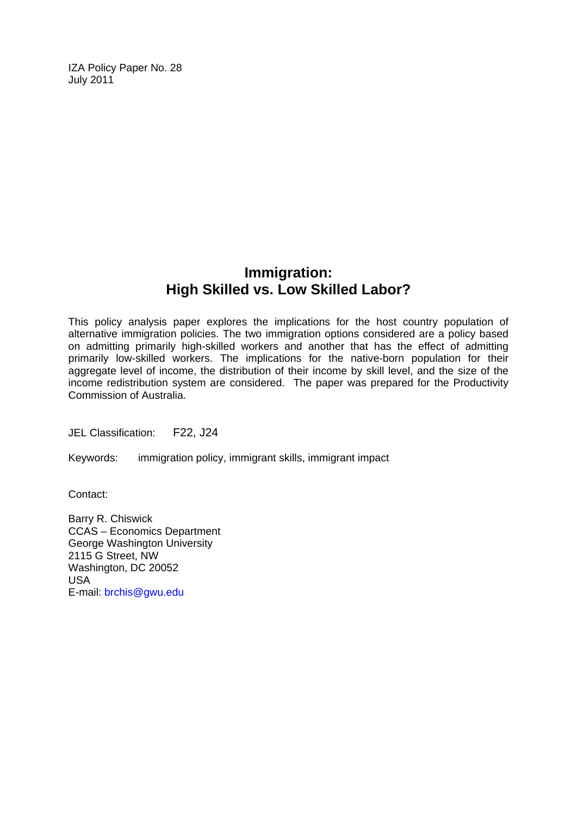IZA Policy Paper No. 28 July 2011

# **Immigration: High Skilled vs. Low Skilled Labor?**

This policy analysis paper explores the implications for the host country population of alternative immigration policies. The two immigration options considered are a policy based on admitting primarily high-skilled workers and another that has the effect of admitting primarily low-skilled workers. The implications for the native-born population for their aggregate level of income, the distribution of their income by skill level, and the size of the income redistribution system are considered. The paper was prepared for the Productivity Commission of Australia.

JEL Classification: F22, J24

Keywords: immigration policy, immigrant skills, immigrant impact

Contact:

Barry R. Chiswick CCAS – Economics Department George Washington University 2115 G Street, NW Washington, DC 20052 USA E-mail: [brchis@gwu.edu](mailto:brchis@gwu.edu)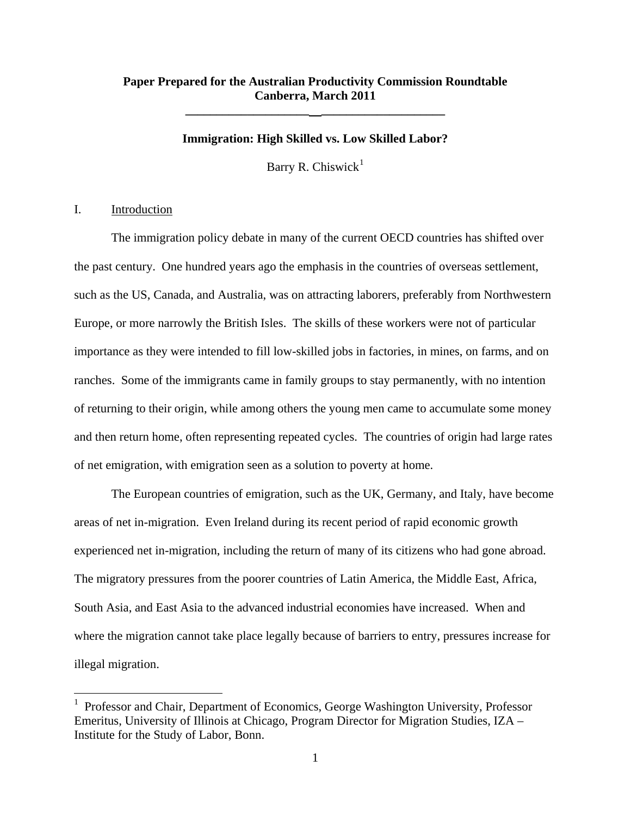# **Paper Prepared for the Australian Productivity Commission Roundtable Canberra, March 2011**

**\_\_\_\_\_\_\_\_\_\_\_\_\_\_\_\_\_\_\_\_ \_\_\_\_\_\_\_\_\_\_\_\_\_\_\_\_\_\_\_\_** 

#### **Immigration: High Skilled vs. Low Skilled Labor?**

Barry R. Chiswick<sup>[1](#page-3-0)</sup>

# I. Introduction

 $\overline{a}$ 

The immigration policy debate in many of the current OECD countries has shifted over the past century. One hundred years ago the emphasis in the countries of overseas settlement, such as the US, Canada, and Australia, was on attracting laborers, preferably from Northwestern Europe, or more narrowly the British Isles. The skills of these workers were not of particular importance as they were intended to fill low-skilled jobs in factories, in mines, on farms, and on ranches. Some of the immigrants came in family groups to stay permanently, with no intention of returning to their origin, while among others the young men came to accumulate some money and then return home, often representing repeated cycles. The countries of origin had large rates of net emigration, with emigration seen as a solution to poverty at home.

The European countries of emigration, such as the UK, Germany, and Italy, have become areas of net in-migration. Even Ireland during its recent period of rapid economic growth experienced net in-migration, including the return of many of its citizens who had gone abroad. The migratory pressures from the poorer countries of Latin America, the Middle East, Africa, South Asia, and East Asia to the advanced industrial economies have increased. When and where the migration cannot take place legally because of barriers to entry, pressures increase for illegal migration.

<span id="page-3-0"></span><sup>1</sup> Professor and Chair, Department of Economics, George Washington University, Professor Emeritus, University of Illinois at Chicago, Program Director for Migration Studies, IZA – Institute for the Study of Labor, Bonn.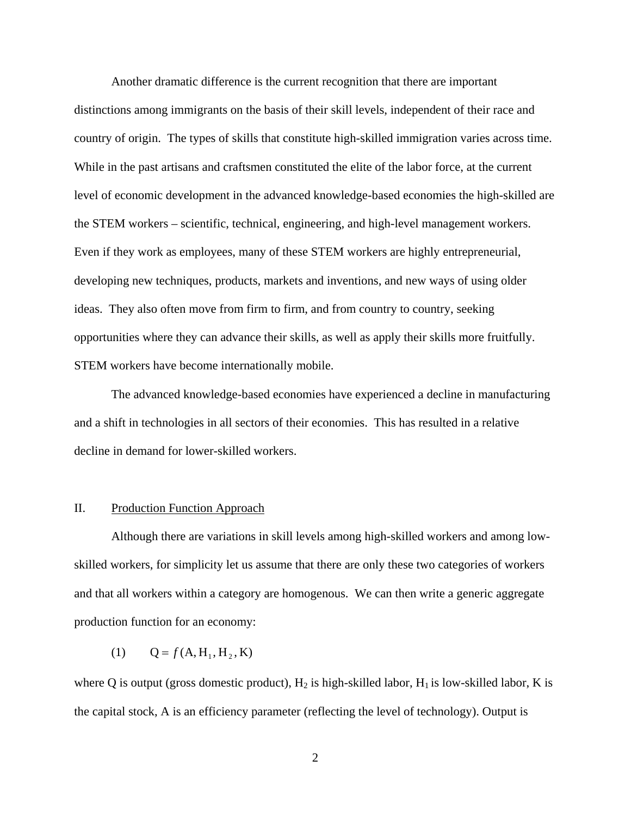Another dramatic difference is the current recognition that there are important distinctions among immigrants on the basis of their skill levels, independent of their race and country of origin. The types of skills that constitute high-skilled immigration varies across time. While in the past artisans and craftsmen constituted the elite of the labor force, at the current level of economic development in the advanced knowledge-based economies the high-skilled are the STEM workers – scientific, technical, engineering, and high-level management workers. Even if they work as employees, many of these STEM workers are highly entrepreneurial, developing new techniques, products, markets and inventions, and new ways of using older ideas. They also often move from firm to firm, and from country to country, seeking opportunities where they can advance their skills, as well as apply their skills more fruitfully. STEM workers have become internationally mobile.

The advanced knowledge-based economies have experienced a decline in manufacturing and a shift in technologies in all sectors of their economies. This has resulted in a relative decline in demand for lower-skilled workers.

## II. Production Function Approach

Although there are variations in skill levels among high-skilled workers and among lowskilled workers, for simplicity let us assume that there are only these two categories of workers and that all workers within a category are homogenous. We can then write a generic aggregate production function for an economy:

(1)  $Q = f(A, H_1, H_2, K)$ 

where Q is output (gross domestic product),  $H_2$  is high-skilled labor,  $H_1$  is low-skilled labor, K is the capital stock, A is an efficiency parameter (reflecting the level of technology). Output is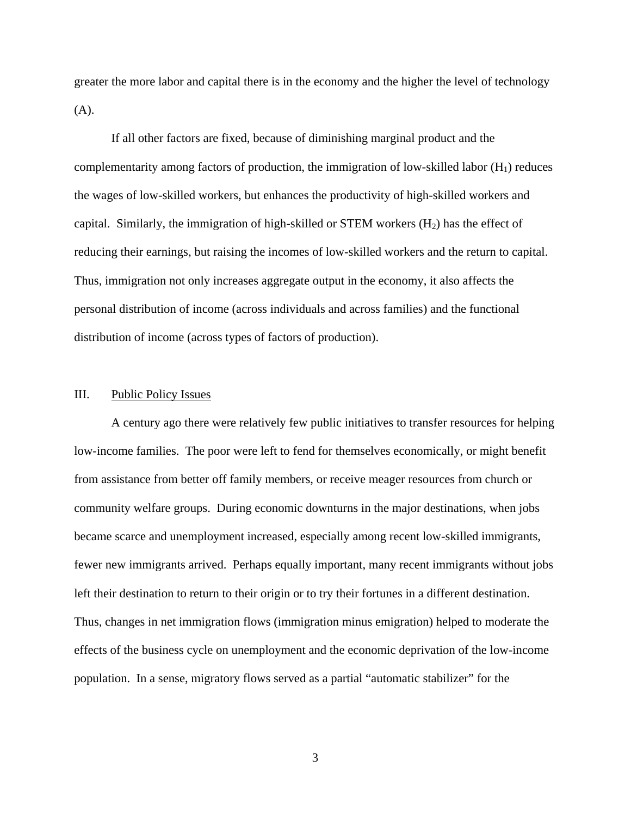greater the more labor and capital there is in the economy and the higher the level of technology (A).

If all other factors are fixed, because of diminishing marginal product and the complementarity among factors of production, the immigration of low-skilled labor  $(H_1)$  reduces the wages of low-skilled workers, but enhances the productivity of high-skilled workers and capital. Similarly, the immigration of high-skilled or STEM workers  $(H<sub>2</sub>)$  has the effect of reducing their earnings, but raising the incomes of low-skilled workers and the return to capital. Thus, immigration not only increases aggregate output in the economy, it also affects the personal distribution of income (across individuals and across families) and the functional distribution of income (across types of factors of production).

## III. Public Policy Issues

A century ago there were relatively few public initiatives to transfer resources for helping low-income families. The poor were left to fend for themselves economically, or might benefit from assistance from better off family members, or receive meager resources from church or community welfare groups. During economic downturns in the major destinations, when jobs became scarce and unemployment increased, especially among recent low-skilled immigrants, fewer new immigrants arrived. Perhaps equally important, many recent immigrants without jobs left their destination to return to their origin or to try their fortunes in a different destination. Thus, changes in net immigration flows (immigration minus emigration) helped to moderate the effects of the business cycle on unemployment and the economic deprivation of the low-income population. In a sense, migratory flows served as a partial "automatic stabilizer" for the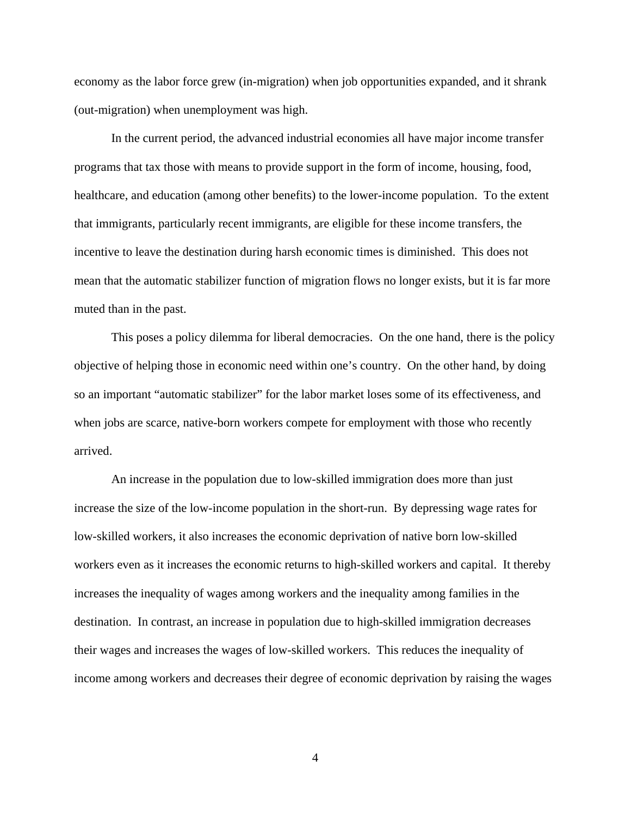economy as the labor force grew (in-migration) when job opportunities expanded, and it shrank (out-migration) when unemployment was high.

In the current period, the advanced industrial economies all have major income transfer programs that tax those with means to provide support in the form of income, housing, food, healthcare, and education (among other benefits) to the lower-income population. To the extent that immigrants, particularly recent immigrants, are eligible for these income transfers, the incentive to leave the destination during harsh economic times is diminished. This does not mean that the automatic stabilizer function of migration flows no longer exists, but it is far more muted than in the past.

This poses a policy dilemma for liberal democracies. On the one hand, there is the policy objective of helping those in economic need within one's country. On the other hand, by doing so an important "automatic stabilizer" for the labor market loses some of its effectiveness, and when jobs are scarce, native-born workers compete for employment with those who recently arrived.

An increase in the population due to low-skilled immigration does more than just increase the size of the low-income population in the short-run. By depressing wage rates for low-skilled workers, it also increases the economic deprivation of native born low-skilled workers even as it increases the economic returns to high-skilled workers and capital. It thereby increases the inequality of wages among workers and the inequality among families in the destination. In contrast, an increase in population due to high-skilled immigration decreases their wages and increases the wages of low-skilled workers. This reduces the inequality of income among workers and decreases their degree of economic deprivation by raising the wages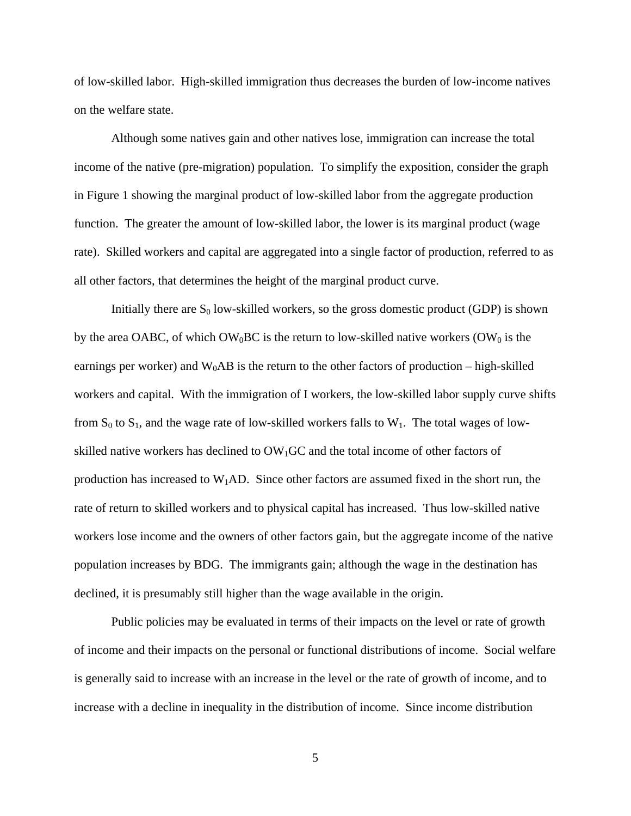of low-skilled labor. High-skilled immigration thus decreases the burden of low-income natives on the welfare state.

Although some natives gain and other natives lose, immigration can increase the total income of the native (pre-migration) population. To simplify the exposition, consider the graph in Figure 1 showing the marginal product of low-skilled labor from the aggregate production function. The greater the amount of low-skilled labor, the lower is its marginal product (wage rate). Skilled workers and capital are aggregated into a single factor of production, referred to as all other factors, that determines the height of the marginal product curve.

Initially there are  $S_0$  low-skilled workers, so the gross domestic product (GDP) is shown by the area OABC, of which OW<sub>0</sub>BC is the return to low-skilled native workers (OW<sub>0</sub> is the earnings per worker) and  $W_0AB$  is the return to the other factors of production – high-skilled workers and capital. With the immigration of I workers, the low-skilled labor supply curve shifts from  $S_0$  to  $S_1$ , and the wage rate of low-skilled workers falls to  $W_1$ . The total wages of lowskilled native workers has declined to  $OW<sub>1</sub>GC$  and the total income of other factors of production has increased to  $W_1AD$ . Since other factors are assumed fixed in the short run, the rate of return to skilled workers and to physical capital has increased. Thus low-skilled native workers lose income and the owners of other factors gain, but the aggregate income of the native population increases by BDG. The immigrants gain; although the wage in the destination has declined, it is presumably still higher than the wage available in the origin.

Public policies may be evaluated in terms of their impacts on the level or rate of growth of income and their impacts on the personal or functional distributions of income. Social welfare is generally said to increase with an increase in the level or the rate of growth of income, and to increase with a decline in inequality in the distribution of income. Since income distribution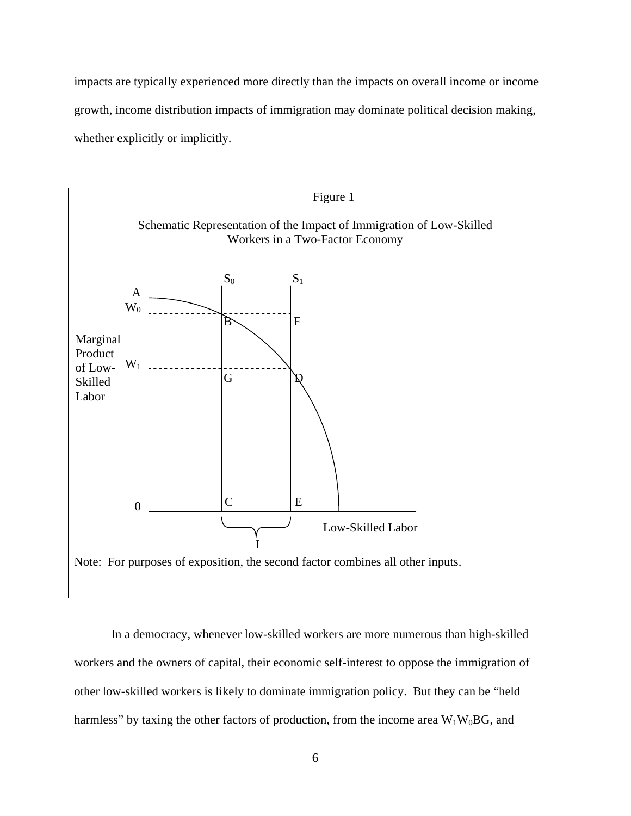impacts are typically experienced more directly than the impacts on overall income or income growth, income distribution impacts of immigration may dominate political decision making, whether explicitly or implicitly.



In a democracy, whenever low-skilled workers are more numerous than high-skilled workers and the owners of capital, their economic self-interest to oppose the immigration of other low-skilled workers is likely to dominate immigration policy. But they can be "held harmless" by taxing the other factors of production, from the income area  $W_1W_0BG$ , and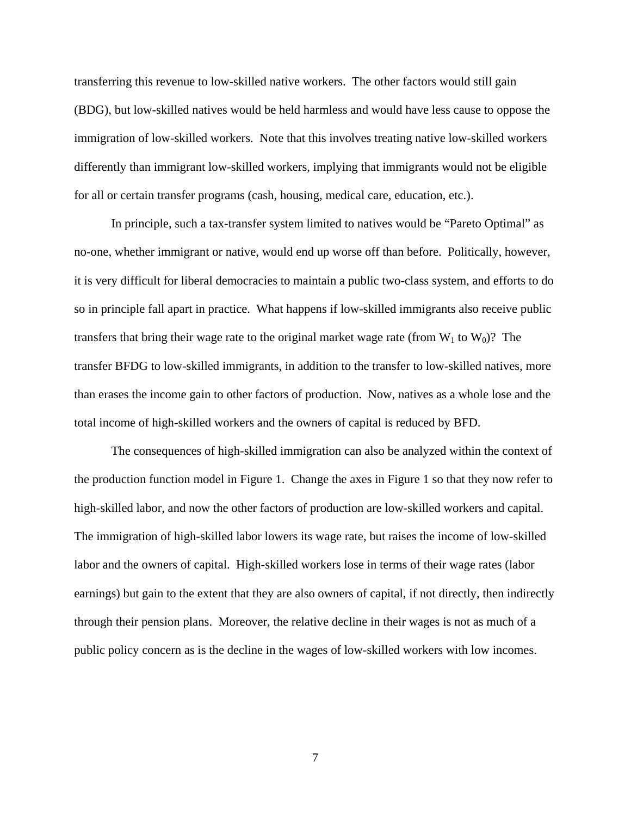transferring this revenue to low-skilled native workers. The other factors would still gain (BDG), but low-skilled natives would be held harmless and would have less cause to oppose the immigration of low-skilled workers. Note that this involves treating native low-skilled workers differently than immigrant low-skilled workers, implying that immigrants would not be eligible for all or certain transfer programs (cash, housing, medical care, education, etc.).

In principle, such a tax-transfer system limited to natives would be "Pareto Optimal" as no-one, whether immigrant or native, would end up worse off than before. Politically, however, it is very difficult for liberal democracies to maintain a public two-class system, and efforts to do so in principle fall apart in practice. What happens if low-skilled immigrants also receive public transfers that bring their wage rate to the original market wage rate (from  $W_1$  to  $W_0$ )? The transfer BFDG to low-skilled immigrants, in addition to the transfer to low-skilled natives, more than erases the income gain to other factors of production. Now, natives as a whole lose and the total income of high-skilled workers and the owners of capital is reduced by BFD.

The consequences of high-skilled immigration can also be analyzed within the context of the production function model in Figure 1. Change the axes in Figure 1 so that they now refer to high-skilled labor, and now the other factors of production are low-skilled workers and capital. The immigration of high-skilled labor lowers its wage rate, but raises the income of low-skilled labor and the owners of capital. High-skilled workers lose in terms of their wage rates (labor earnings) but gain to the extent that they are also owners of capital, if not directly, then indirectly through their pension plans. Moreover, the relative decline in their wages is not as much of a public policy concern as is the decline in the wages of low-skilled workers with low incomes.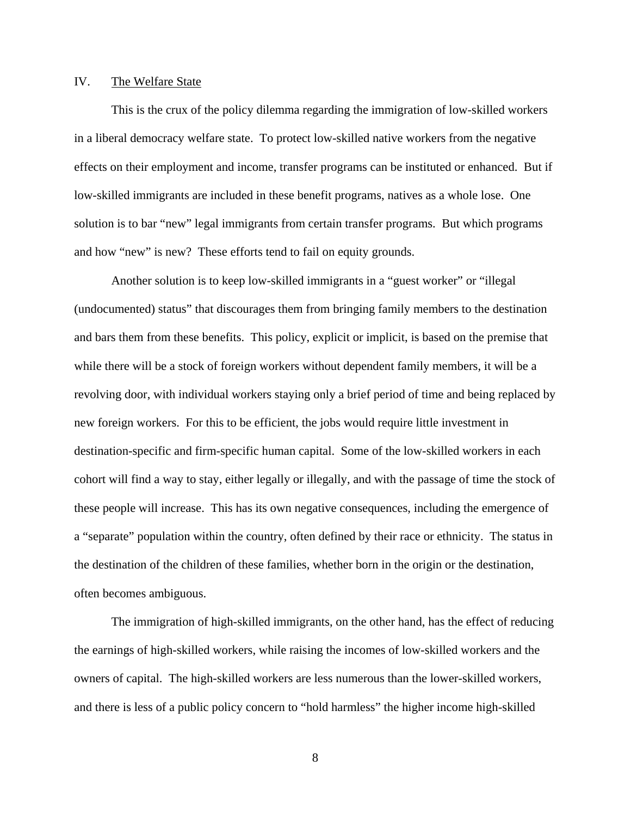# IV. The Welfare State

This is the crux of the policy dilemma regarding the immigration of low-skilled workers in a liberal democracy welfare state. To protect low-skilled native workers from the negative effects on their employment and income, transfer programs can be instituted or enhanced. But if low-skilled immigrants are included in these benefit programs, natives as a whole lose. One solution is to bar "new" legal immigrants from certain transfer programs. But which programs and how "new" is new? These efforts tend to fail on equity grounds.

Another solution is to keep low-skilled immigrants in a "guest worker" or "illegal (undocumented) status" that discourages them from bringing family members to the destination and bars them from these benefits. This policy, explicit or implicit, is based on the premise that while there will be a stock of foreign workers without dependent family members, it will be a revolving door, with individual workers staying only a brief period of time and being replaced by new foreign workers. For this to be efficient, the jobs would require little investment in destination-specific and firm-specific human capital. Some of the low-skilled workers in each cohort will find a way to stay, either legally or illegally, and with the passage of time the stock of these people will increase. This has its own negative consequences, including the emergence of a "separate" population within the country, often defined by their race or ethnicity. The status in the destination of the children of these families, whether born in the origin or the destination, often becomes ambiguous.

The immigration of high-skilled immigrants, on the other hand, has the effect of reducing the earnings of high-skilled workers, while raising the incomes of low-skilled workers and the owners of capital. The high-skilled workers are less numerous than the lower-skilled workers, and there is less of a public policy concern to "hold harmless" the higher income high-skilled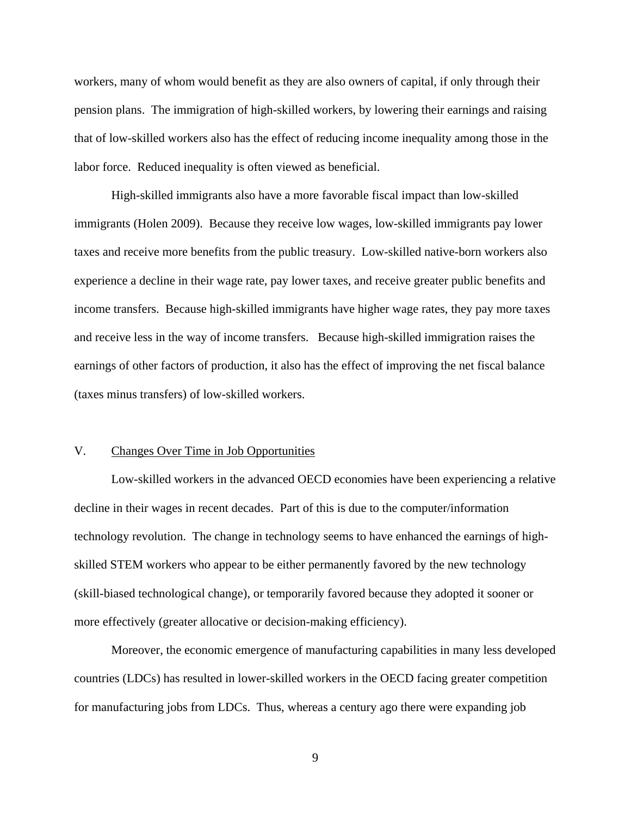workers, many of whom would benefit as they are also owners of capital, if only through their pension plans. The immigration of high-skilled workers, by lowering their earnings and raising that of low-skilled workers also has the effect of reducing income inequality among those in the labor force. Reduced inequality is often viewed as beneficial.

High-skilled immigrants also have a more favorable fiscal impact than low-skilled immigrants (Holen 2009). Because they receive low wages, low-skilled immigrants pay lower taxes and receive more benefits from the public treasury. Low-skilled native-born workers also experience a decline in their wage rate, pay lower taxes, and receive greater public benefits and income transfers. Because high-skilled immigrants have higher wage rates, they pay more taxes and receive less in the way of income transfers. Because high-skilled immigration raises the earnings of other factors of production, it also has the effect of improving the net fiscal balance (taxes minus transfers) of low-skilled workers.

# V. Changes Over Time in Job Opportunities

Low-skilled workers in the advanced OECD economies have been experiencing a relative decline in their wages in recent decades. Part of this is due to the computer/information technology revolution. The change in technology seems to have enhanced the earnings of highskilled STEM workers who appear to be either permanently favored by the new technology (skill-biased technological change), or temporarily favored because they adopted it sooner or more effectively (greater allocative or decision-making efficiency).

Moreover, the economic emergence of manufacturing capabilities in many less developed countries (LDCs) has resulted in lower-skilled workers in the OECD facing greater competition for manufacturing jobs from LDCs. Thus, whereas a century ago there were expanding job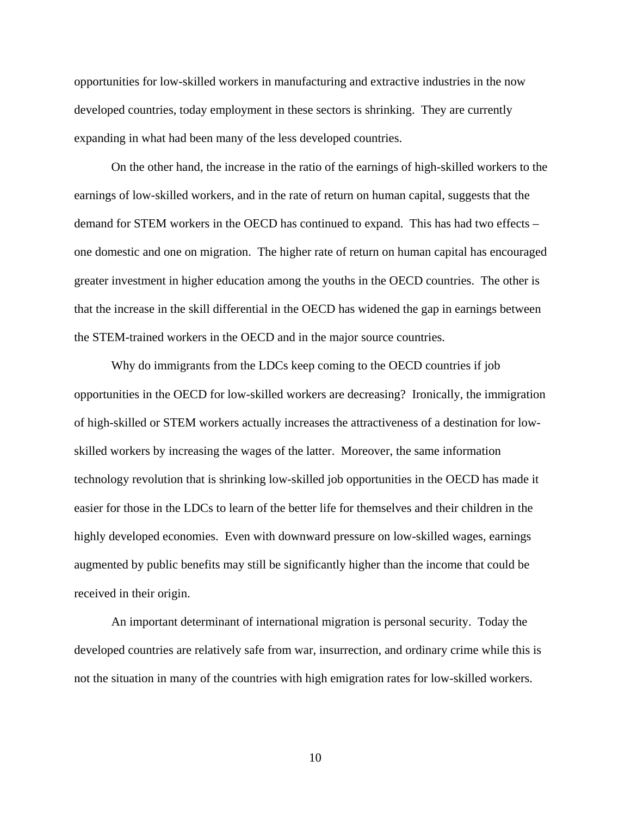opportunities for low-skilled workers in manufacturing and extractive industries in the now developed countries, today employment in these sectors is shrinking. They are currently expanding in what had been many of the less developed countries.

On the other hand, the increase in the ratio of the earnings of high-skilled workers to the earnings of low-skilled workers, and in the rate of return on human capital, suggests that the demand for STEM workers in the OECD has continued to expand. This has had two effects – one domestic and one on migration. The higher rate of return on human capital has encouraged greater investment in higher education among the youths in the OECD countries. The other is that the increase in the skill differential in the OECD has widened the gap in earnings between the STEM-trained workers in the OECD and in the major source countries.

Why do immigrants from the LDCs keep coming to the OECD countries if job opportunities in the OECD for low-skilled workers are decreasing? Ironically, the immigration of high-skilled or STEM workers actually increases the attractiveness of a destination for lowskilled workers by increasing the wages of the latter. Moreover, the same information technology revolution that is shrinking low-skilled job opportunities in the OECD has made it easier for those in the LDCs to learn of the better life for themselves and their children in the highly developed economies. Even with downward pressure on low-skilled wages, earnings augmented by public benefits may still be significantly higher than the income that could be received in their origin.

An important determinant of international migration is personal security. Today the developed countries are relatively safe from war, insurrection, and ordinary crime while this is not the situation in many of the countries with high emigration rates for low-skilled workers.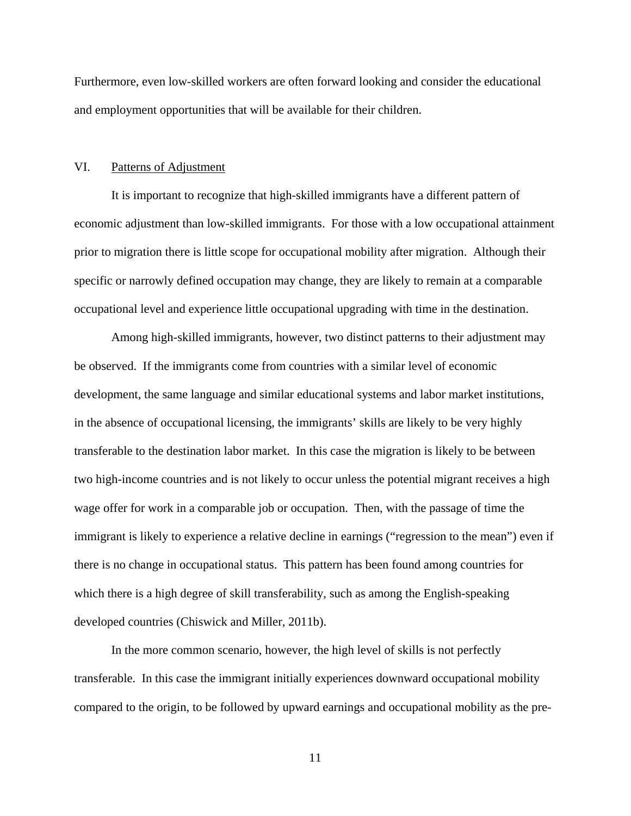Furthermore, even low-skilled workers are often forward looking and consider the educational and employment opportunities that will be available for their children.

#### VI. Patterns of Adjustment

It is important to recognize that high-skilled immigrants have a different pattern of economic adjustment than low-skilled immigrants. For those with a low occupational attainment prior to migration there is little scope for occupational mobility after migration. Although their specific or narrowly defined occupation may change, they are likely to remain at a comparable occupational level and experience little occupational upgrading with time in the destination.

Among high-skilled immigrants, however, two distinct patterns to their adjustment may be observed. If the immigrants come from countries with a similar level of economic development, the same language and similar educational systems and labor market institutions, in the absence of occupational licensing, the immigrants' skills are likely to be very highly transferable to the destination labor market. In this case the migration is likely to be between two high-income countries and is not likely to occur unless the potential migrant receives a high wage offer for work in a comparable job or occupation. Then, with the passage of time the immigrant is likely to experience a relative decline in earnings ("regression to the mean") even if there is no change in occupational status. This pattern has been found among countries for which there is a high degree of skill transferability, such as among the English-speaking developed countries (Chiswick and Miller, 2011b).

In the more common scenario, however, the high level of skills is not perfectly transferable. In this case the immigrant initially experiences downward occupational mobility compared to the origin, to be followed by upward earnings and occupational mobility as the pre-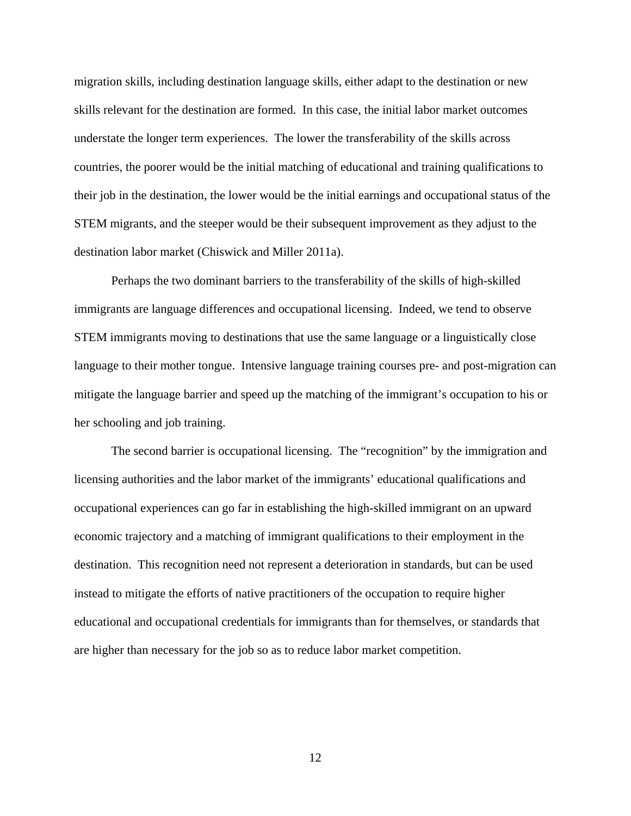migration skills, including destination language skills, either adapt to the destination or new skills relevant for the destination are formed. In this case, the initial labor market outcomes understate the longer term experiences. The lower the transferability of the skills across countries, the poorer would be the initial matching of educational and training qualifications to their job in the destination, the lower would be the initial earnings and occupational status of the STEM migrants, and the steeper would be their subsequent improvement as they adjust to the destination labor market (Chiswick and Miller 2011a).

Perhaps the two dominant barriers to the transferability of the skills of high-skilled immigrants are language differences and occupational licensing. Indeed, we tend to observe STEM immigrants moving to destinations that use the same language or a linguistically close language to their mother tongue. Intensive language training courses pre- and post-migration can mitigate the language barrier and speed up the matching of the immigrant's occupation to his or her schooling and job training.

The second barrier is occupational licensing. The "recognition" by the immigration and licensing authorities and the labor market of the immigrants' educational qualifications and occupational experiences can go far in establishing the high-skilled immigrant on an upward economic trajectory and a matching of immigrant qualifications to their employment in the destination. This recognition need not represent a deterioration in standards, but can be used instead to mitigate the efforts of native practitioners of the occupation to require higher educational and occupational credentials for immigrants than for themselves, or standards that are higher than necessary for the job so as to reduce labor market competition.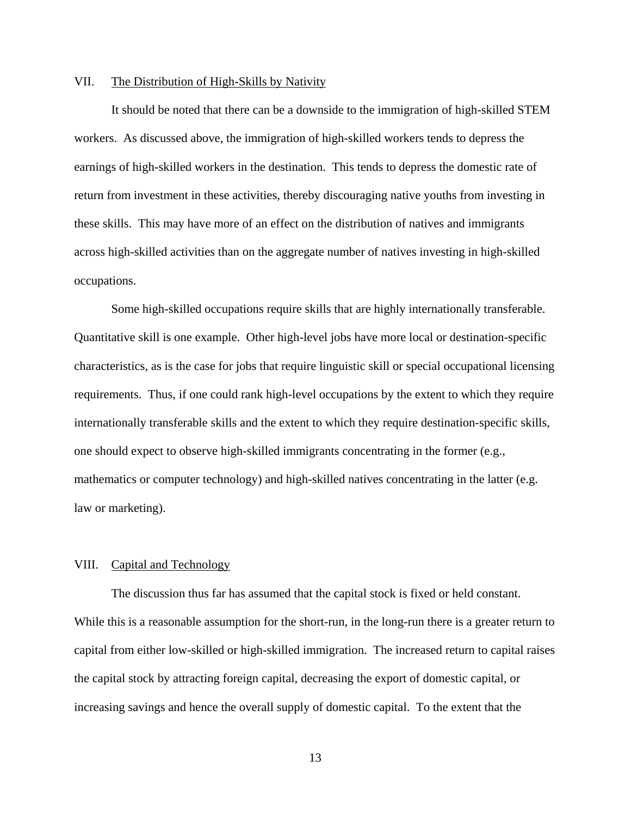## VII. The Distribution of High-Skills by Nativity

It should be noted that there can be a downside to the immigration of high-skilled STEM workers. As discussed above, the immigration of high-skilled workers tends to depress the earnings of high-skilled workers in the destination. This tends to depress the domestic rate of return from investment in these activities, thereby discouraging native youths from investing in these skills. This may have more of an effect on the distribution of natives and immigrants across high-skilled activities than on the aggregate number of natives investing in high-skilled occupations.

Some high-skilled occupations require skills that are highly internationally transferable. Quantitative skill is one example. Other high-level jobs have more local or destination-specific characteristics, as is the case for jobs that require linguistic skill or special occupational licensing requirements. Thus, if one could rank high-level occupations by the extent to which they require internationally transferable skills and the extent to which they require destination-specific skills, one should expect to observe high-skilled immigrants concentrating in the former (e.g., mathematics or computer technology) and high-skilled natives concentrating in the latter (e.g. law or marketing).

# VIII. Capital and Technology

The discussion thus far has assumed that the capital stock is fixed or held constant. While this is a reasonable assumption for the short-run, in the long-run there is a greater return to capital from either low-skilled or high-skilled immigration. The increased return to capital raises the capital stock by attracting foreign capital, decreasing the export of domestic capital, or increasing savings and hence the overall supply of domestic capital. To the extent that the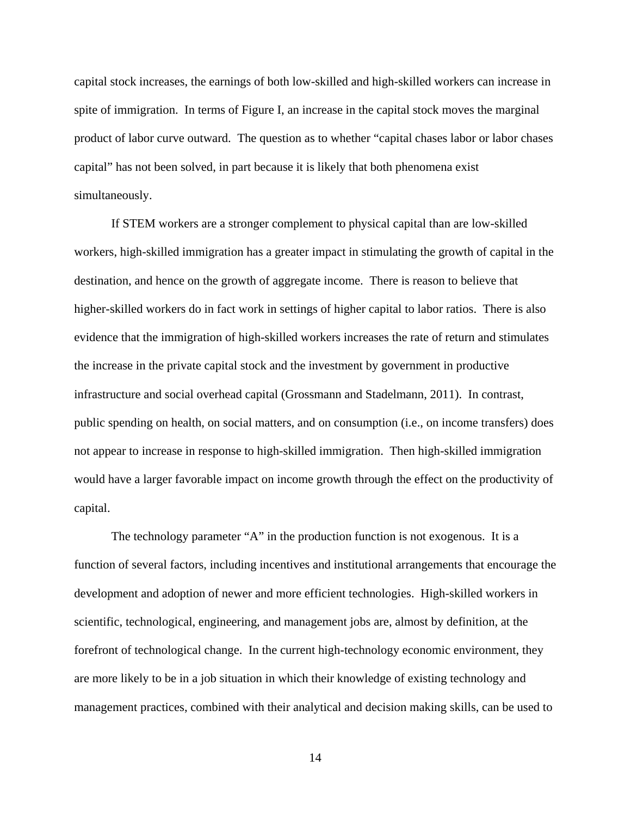capital stock increases, the earnings of both low-skilled and high-skilled workers can increase in spite of immigration. In terms of Figure I, an increase in the capital stock moves the marginal product of labor curve outward. The question as to whether "capital chases labor or labor chases capital" has not been solved, in part because it is likely that both phenomena exist simultaneously.

If STEM workers are a stronger complement to physical capital than are low-skilled workers, high-skilled immigration has a greater impact in stimulating the growth of capital in the destination, and hence on the growth of aggregate income. There is reason to believe that higher-skilled workers do in fact work in settings of higher capital to labor ratios. There is also evidence that the immigration of high-skilled workers increases the rate of return and stimulates the increase in the private capital stock and the investment by government in productive infrastructure and social overhead capital (Grossmann and Stadelmann, 2011). In contrast, public spending on health, on social matters, and on consumption (i.e., on income transfers) does not appear to increase in response to high-skilled immigration. Then high-skilled immigration would have a larger favorable impact on income growth through the effect on the productivity of capital.

The technology parameter "A" in the production function is not exogenous. It is a function of several factors, including incentives and institutional arrangements that encourage the development and adoption of newer and more efficient technologies. High-skilled workers in scientific, technological, engineering, and management jobs are, almost by definition, at the forefront of technological change. In the current high-technology economic environment, they are more likely to be in a job situation in which their knowledge of existing technology and management practices, combined with their analytical and decision making skills, can be used to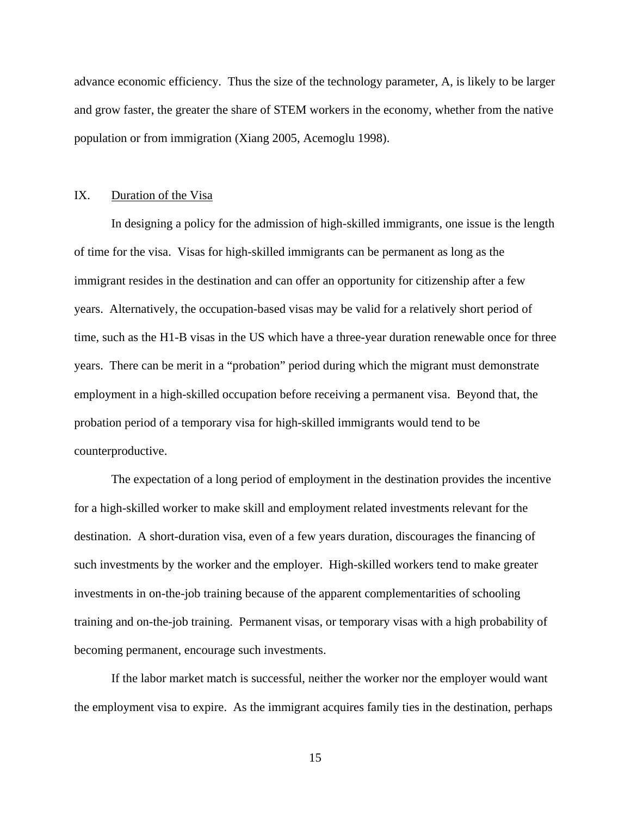advance economic efficiency. Thus the size of the technology parameter, A, is likely to be larger and grow faster, the greater the share of STEM workers in the economy, whether from the native population or from immigration (Xiang 2005, Acemoglu 1998).

# IX. Duration of the Visa

In designing a policy for the admission of high-skilled immigrants, one issue is the length of time for the visa. Visas for high-skilled immigrants can be permanent as long as the immigrant resides in the destination and can offer an opportunity for citizenship after a few years. Alternatively, the occupation-based visas may be valid for a relatively short period of time, such as the H1-B visas in the US which have a three-year duration renewable once for three years. There can be merit in a "probation" period during which the migrant must demonstrate employment in a high-skilled occupation before receiving a permanent visa. Beyond that, the probation period of a temporary visa for high-skilled immigrants would tend to be counterproductive.

The expectation of a long period of employment in the destination provides the incentive for a high-skilled worker to make skill and employment related investments relevant for the destination. A short-duration visa, even of a few years duration, discourages the financing of such investments by the worker and the employer. High-skilled workers tend to make greater investments in on-the-job training because of the apparent complementarities of schooling training and on-the-job training. Permanent visas, or temporary visas with a high probability of becoming permanent, encourage such investments.

If the labor market match is successful, neither the worker nor the employer would want the employment visa to expire. As the immigrant acquires family ties in the destination, perhaps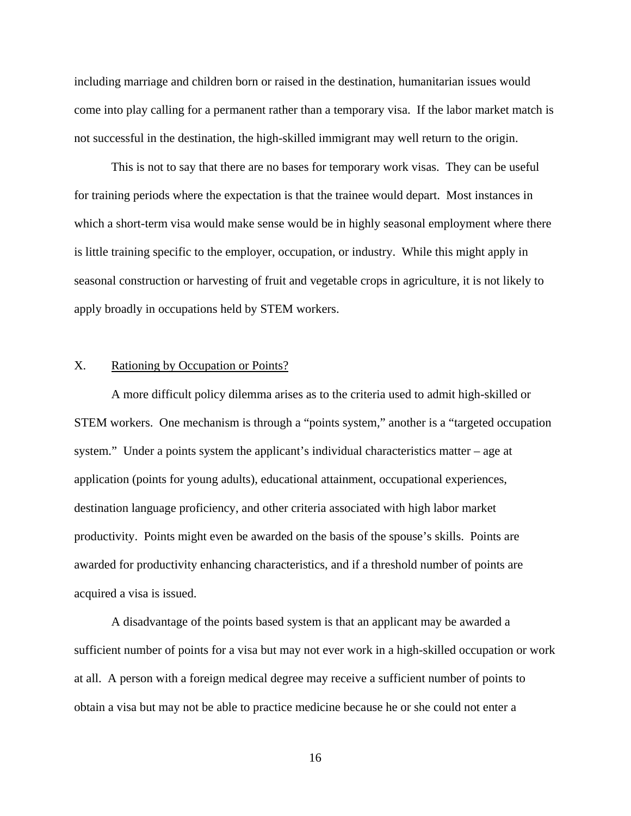including marriage and children born or raised in the destination, humanitarian issues would come into play calling for a permanent rather than a temporary visa. If the labor market match is not successful in the destination, the high-skilled immigrant may well return to the origin.

This is not to say that there are no bases for temporary work visas. They can be useful for training periods where the expectation is that the trainee would depart. Most instances in which a short-term visa would make sense would be in highly seasonal employment where there is little training specific to the employer, occupation, or industry. While this might apply in seasonal construction or harvesting of fruit and vegetable crops in agriculture, it is not likely to apply broadly in occupations held by STEM workers.

#### X. Rationing by Occupation or Points?

A more difficult policy dilemma arises as to the criteria used to admit high-skilled or STEM workers. One mechanism is through a "points system," another is a "targeted occupation system." Under a points system the applicant's individual characteristics matter – age at application (points for young adults), educational attainment, occupational experiences, destination language proficiency, and other criteria associated with high labor market productivity. Points might even be awarded on the basis of the spouse's skills. Points are awarded for productivity enhancing characteristics, and if a threshold number of points are acquired a visa is issued.

A disadvantage of the points based system is that an applicant may be awarded a sufficient number of points for a visa but may not ever work in a high-skilled occupation or work at all. A person with a foreign medical degree may receive a sufficient number of points to obtain a visa but may not be able to practice medicine because he or she could not enter a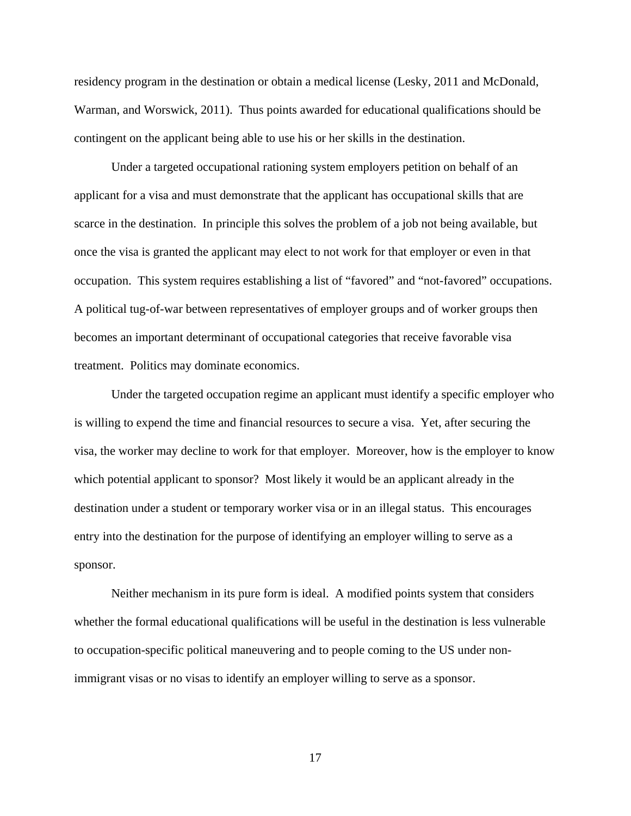residency program in the destination or obtain a medical license (Lesky, 2011 and McDonald, Warman, and Worswick, 2011). Thus points awarded for educational qualifications should be contingent on the applicant being able to use his or her skills in the destination.

Under a targeted occupational rationing system employers petition on behalf of an applicant for a visa and must demonstrate that the applicant has occupational skills that are scarce in the destination. In principle this solves the problem of a job not being available, but once the visa is granted the applicant may elect to not work for that employer or even in that occupation. This system requires establishing a list of "favored" and "not-favored" occupations. A political tug-of-war between representatives of employer groups and of worker groups then becomes an important determinant of occupational categories that receive favorable visa treatment. Politics may dominate economics.

Under the targeted occupation regime an applicant must identify a specific employer who is willing to expend the time and financial resources to secure a visa. Yet, after securing the visa, the worker may decline to work for that employer. Moreover, how is the employer to know which potential applicant to sponsor? Most likely it would be an applicant already in the destination under a student or temporary worker visa or in an illegal status. This encourages entry into the destination for the purpose of identifying an employer willing to serve as a sponsor.

Neither mechanism in its pure form is ideal. A modified points system that considers whether the formal educational qualifications will be useful in the destination is less vulnerable to occupation-specific political maneuvering and to people coming to the US under nonimmigrant visas or no visas to identify an employer willing to serve as a sponsor.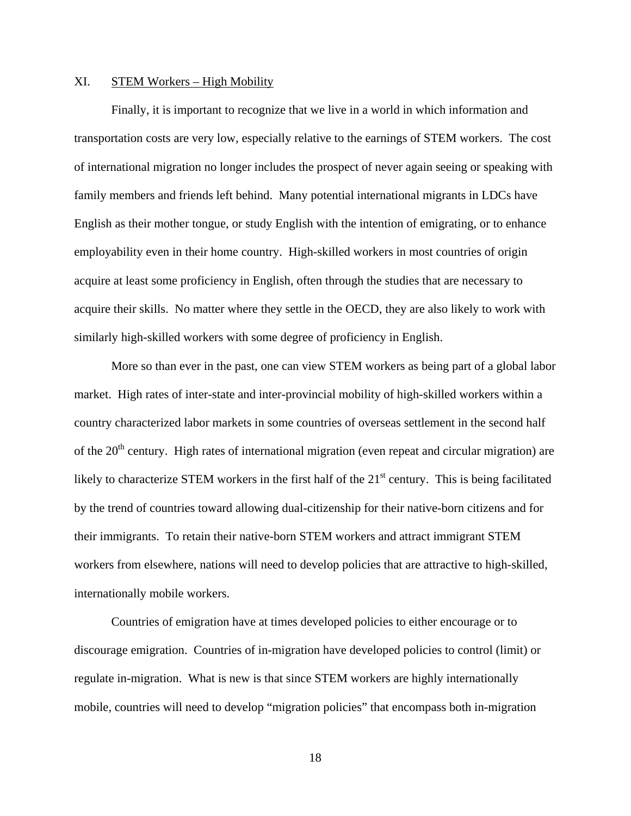### XI. STEM Workers – High Mobility

Finally, it is important to recognize that we live in a world in which information and transportation costs are very low, especially relative to the earnings of STEM workers. The cost of international migration no longer includes the prospect of never again seeing or speaking with family members and friends left behind. Many potential international migrants in LDCs have English as their mother tongue, or study English with the intention of emigrating, or to enhance employability even in their home country. High-skilled workers in most countries of origin acquire at least some proficiency in English, often through the studies that are necessary to acquire their skills. No matter where they settle in the OECD, they are also likely to work with similarly high-skilled workers with some degree of proficiency in English.

More so than ever in the past, one can view STEM workers as being part of a global labor market. High rates of inter-state and inter-provincial mobility of high-skilled workers within a country characterized labor markets in some countries of overseas settlement in the second half of the 20<sup>th</sup> century. High rates of international migration (even repeat and circular migration) are likely to characterize STEM workers in the first half of the  $21<sup>st</sup>$  century. This is being facilitated by the trend of countries toward allowing dual-citizenship for their native-born citizens and for their immigrants. To retain their native-born STEM workers and attract immigrant STEM workers from elsewhere, nations will need to develop policies that are attractive to high-skilled, internationally mobile workers.

Countries of emigration have at times developed policies to either encourage or to discourage emigration. Countries of in-migration have developed policies to control (limit) or regulate in-migration. What is new is that since STEM workers are highly internationally mobile, countries will need to develop "migration policies" that encompass both in-migration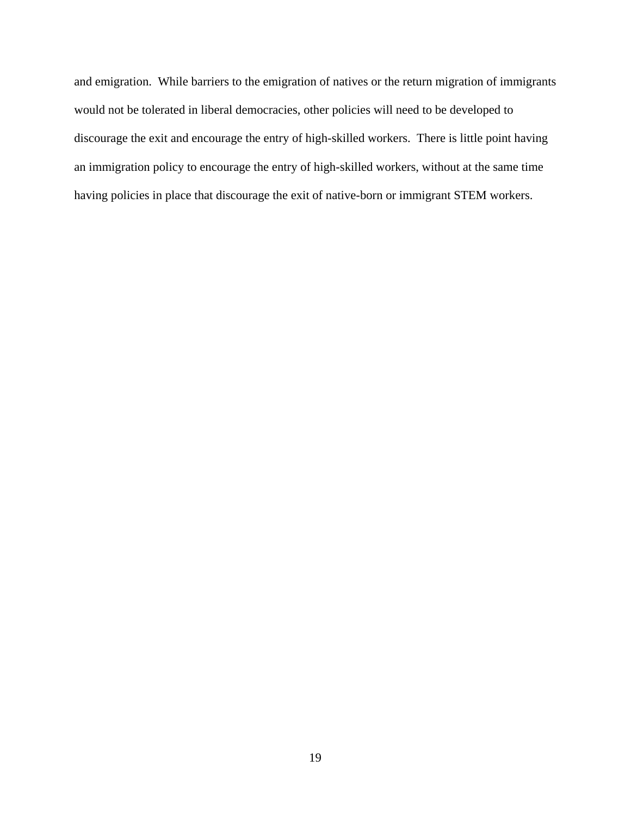and emigration. While barriers to the emigration of natives or the return migration of immigrants would not be tolerated in liberal democracies, other policies will need to be developed to discourage the exit and encourage the entry of high-skilled workers. There is little point having an immigration policy to encourage the entry of high-skilled workers, without at the same time having policies in place that discourage the exit of native-born or immigrant STEM workers.